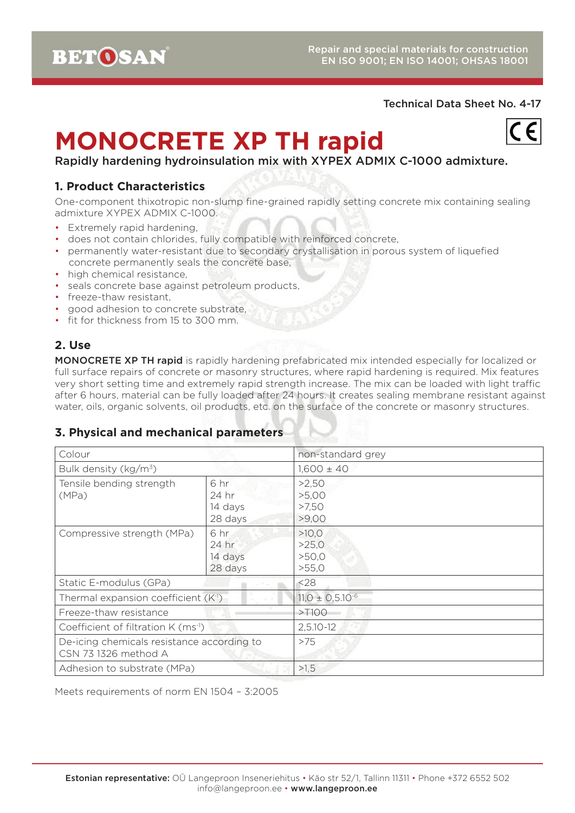**BETOSAN** 

### Technical Data Sheet No. 4-17

# **MONOCRETE XP TH rapid**



Rapidly hardening hydroinsulation mix with XYPEX ADMIX C-1000 admixture.

# **1. Product Characteristics**

One-component thixotropic non-slump fine-grained rapidly setting concrete mix containing sealing admixture XYPEX ADMIX C-1000.

- Extremely rapid hardening,
- does not contain chlorides, fully compatible with reinforced concrete,
- permanently water-resistant due to secondary crystallisation in porous system of liquefied concrete permanently seals the concrete base,
- high chemical resistance.
- seals concrete base against petroleum products,
- freeze-thaw resistant,
- good adhesion to concrete substrate,
- fit for thickness from 15 to 300 mm.

# **2. Use**

MONOCRETE XP TH rapid is rapidly hardening prefabricated mix intended especially for localized or full surface repairs of concrete or masonry structures, where rapid hardening is required. Mix features very short setting time and extremely rapid strength increase. The mix can be loaded with light traffic after 6 hours, material can be fully loaded after 24 hours. It creates sealing membrane resistant against water, oils, organic solvents, oil products, etc. on the surface of the concrete or masonry structures.

# **3. Physical and mechanical parameters**

| Colour                                                             |                                     | non-standard grey                |
|--------------------------------------------------------------------|-------------------------------------|----------------------------------|
| Bulk density ( $kg/m^3$ )                                          |                                     | $1,600 \pm 40$                   |
| Tensile bending strength<br>(MPa)                                  | 6 hr<br>24 hr<br>14 days<br>28 days | >2,50<br>>5,00<br>>7,50<br>>9,00 |
| Compressive strength (MPa)                                         | 6 hr<br>24 hr<br>14 days<br>28 days | >10.0<br>>25,0<br>>50,0<br>>55,0 |
| Static E-modulus (GPa)                                             |                                     | < 28                             |
| Thermal expansion coefficient (K <sup>-1</sup> )                   |                                     | $11,0 \pm 0.5.10^{-6}$           |
| Freeze-thaw resistance                                             |                                     | $>$ T100                         |
| Coefficient of filtration K (ms <sup>-1</sup> )                    |                                     | $2,5.10 - 12$                    |
| De-icing chemicals resistance according to<br>CSN 73 1326 method A |                                     | >75                              |
| Adhesion to substrate (MPa)                                        |                                     | >1,5                             |

Meets requirements of norm EN 1504 – 3:2005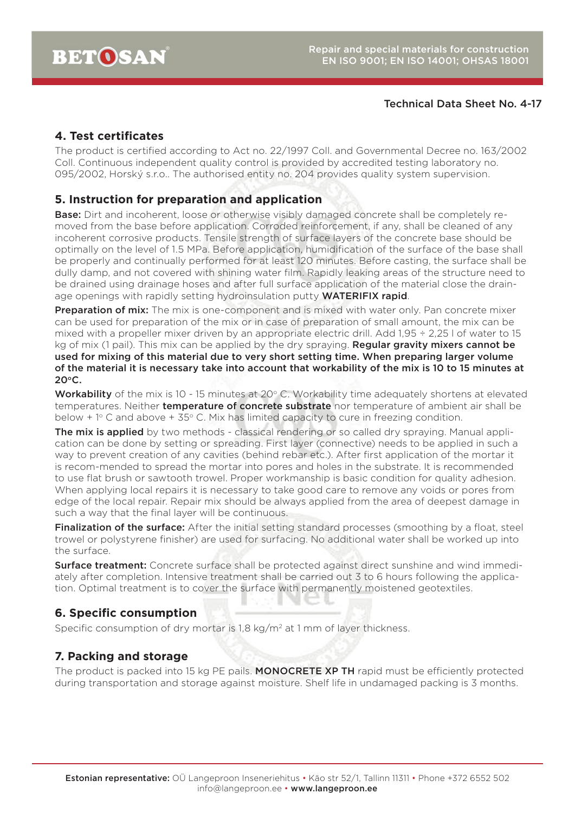#### Technical Data Sheet No. 4-17

## **4. Test certificates**

The product is certified according to Act no. 22/1997 Coll. and Governmental Decree no. 163/2002 Coll. Continuous independent quality control is provided by accredited testing laboratory no. 095/2002, Horský s.r.o.. The authorised entity no. 204 provides quality system supervision.

### **5. Instruction for preparation and application**

**Base:** Dirt and incoherent, loose or otherwise visibly damaged concrete shall be completely removed from the base before application. Corroded reinforcement, if any, shall be cleaned of any incoherent corrosive products. Tensile strength of surface layers of the concrete base should be optimally on the level of 1.5 MPa. Before application, humidification of the surface of the base shall be properly and continually performed for at least 120 minutes. Before casting, the surface shall be dully damp, and not covered with shining water film. Rapidly leaking areas of the structure need to be drained using drainage hoses and after full surface application of the material close the drainage openings with rapidly setting hydroinsulation putty **WATERIFIX rapid**.

Preparation of mix: The mix is one-component and is mixed with water only. Pan concrete mixer can be used for preparation of the mix or in case of preparation of small amount, the mix can be mixed with a propeller mixer driven by an appropriate electric drill. Add 1,95 ÷ 2,25 l of water to 15 kg of mix (1 pail). This mix can be applied by the dry spraying. Regular gravity mixers cannot be used for mixing of this material due to very short setting time. When preparing larger volume of the material it is necessary take into account that workability of the mix is 10 to 15 minutes at  $20^{\circ}$ C.

Workability of the mix is 10 - 15 minutes at 20° C. Workability time adequately shortens at elevated temperatures. Neither **temperature of concrete substrate** nor temperature of ambient air shall be below  $+1^{\circ}$  C and above  $+35^{\circ}$  C. Mix has limited capacity to cure in freezing condition.

The mix is applied by two methods - classical rendering or so called dry spraying. Manual application can be done by setting or spreading. First layer (connective) needs to be applied in such a way to prevent creation of any cavities (behind rebar etc.). After first application of the mortar it is recom-mended to spread the mortar into pores and holes in the substrate. It is recommended to use flat brush or sawtooth trowel. Proper workmanship is basic condition for quality adhesion. When applying local repairs it is necessary to take good care to remove any voids or pores from edge of the local repair. Repair mix should be always applied from the area of deepest damage in such a way that the final layer will be continuous.

Finalization of the surface: After the initial setting standard processes (smoothing by a float, steel trowel or polystyrene finisher) are used for surfacing. No additional water shall be worked up into the surface.

Surface treatment: Concrete surface shall be protected against direct sunshine and wind immediately after completion. Intensive treatment shall be carried out 3 to 6 hours following the application. Optimal treatment is to cover the surface with permanently moistened geotextiles.

## **6. Specific consumption**

Specific consumption of dry mortar is 1,8 kg/m<sup>2</sup> at 1 mm of layer thickness.

## **7. Packing and storage**

The product is packed into 15 kg PE pails. MONOCRETE XP TH rapid must be efficiently protected during transportation and storage against moisture. Shelf life in undamaged packing is 3 months.